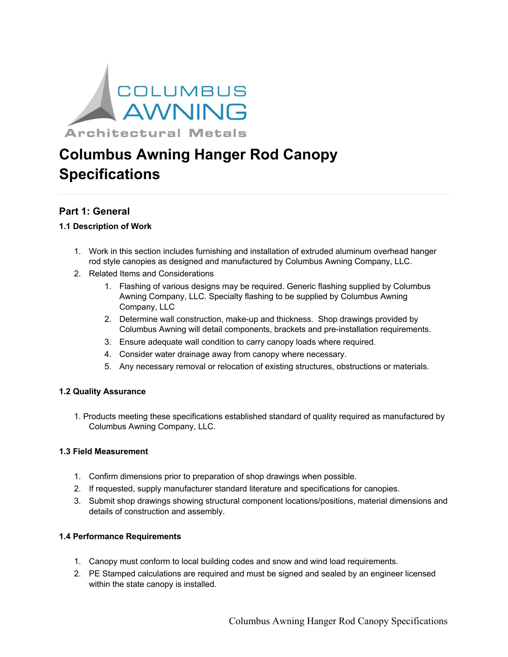

# **Columbus Awning Hanger Rod Canopy Specifications**

# **Part 1: General**

# **1.1 Description of Work**

- 1. Work in this section includes furnishing and installation of extruded aluminum overhead hanger rod style canopies as designed and manufactured by Columbus Awning Company, LLC.
- 2. Related Items and Considerations
	- 1. Flashing of various designs may be required. Generic flashing supplied by Columbus Awning Company, LLC. Specialty flashing to be supplied by Columbus Awning Company, LLC
	- 2. Determine wall construction, make-up and thickness. Shop drawings provided by Columbus Awning will detail components, brackets and pre-installation requirements.
	- 3. Ensure adequate wall condition to carry canopy loads where required.
	- 4. Consider water drainage away from canopy where necessary.
	- 5. Any necessary removal or relocation of existing structures, obstructions or materials.

#### **1.2 Quality Assurance**

1. Products meeting these specifications established standard of quality required as manufactured by Columbus Awning Company, LLC.

## **1.3 Field Measurement**

- 1. Confirm dimensions prior to preparation of shop drawings when possible.
- 2. If requested, supply manufacturer standard literature and specifications for canopies.
- 3. Submit shop drawings showing structural component locations/positions, material dimensions and details of construction and assembly.

# **1.4 Performance Requirements**

- 1. Canopy must conform to local building codes and snow and wind load requirements.
- 2. PE Stamped calculations are required and must be signed and sealed by an engineer licensed within the state canopy is installed.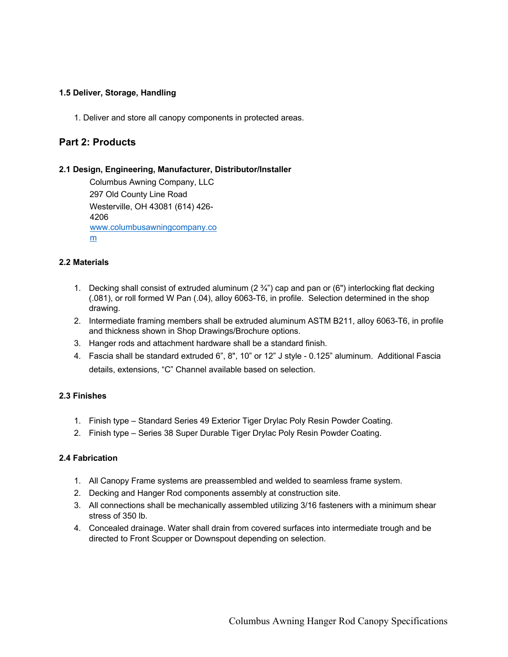#### **1.5 Deliver, Storage, Handling**

1. Deliver and store all canopy components in protected areas.

# **Part 2: Products**

#### **2.1 Design, Engineering, Manufacturer, Distributor/Installer**

Columbus Awning Company, LLC 297 Old County Line Road Westerville, OH 43081 (614) 426- 4206 www.columbusawningcompany.co m

#### **2.2 Materials**

- 1. Decking shall consist of extruded aluminum  $(2 \frac{3}{4})$  cap and pan or (6") interlocking flat decking (.081), or roll formed W Pan (.04), alloy 6063-T6, in profile. Selection determined in the shop drawing.
- 2. Intermediate framing members shall be extruded aluminum ASTM B211, alloy 6063-T6, in profile and thickness shown in Shop Drawings/Brochure options.
- 3. Hanger rods and attachment hardware shall be a standard finish.
- 4. Fascia shall be standard extruded 6", 8", 10" or 12" J style 0.125" aluminum. Additional Fascia details, extensions, "C" Channel available based on selection.

#### **2.3 Finishes**

- 1. Finish type Standard Series 49 Exterior Tiger Drylac Poly Resin Powder Coating.
- 2. Finish type Series 38 Super Durable Tiger Drylac Poly Resin Powder Coating.

#### **2.4 Fabrication**

- 1. All Canopy Frame systems are preassembled and welded to seamless frame system.
- 2. Decking and Hanger Rod components assembly at construction site.
- 3. All connections shall be mechanically assembled utilizing 3/16 fasteners with a minimum shear stress of 350 lb.
- 4. Concealed drainage. Water shall drain from covered surfaces into intermediate trough and be directed to Front Scupper or Downspout depending on selection.